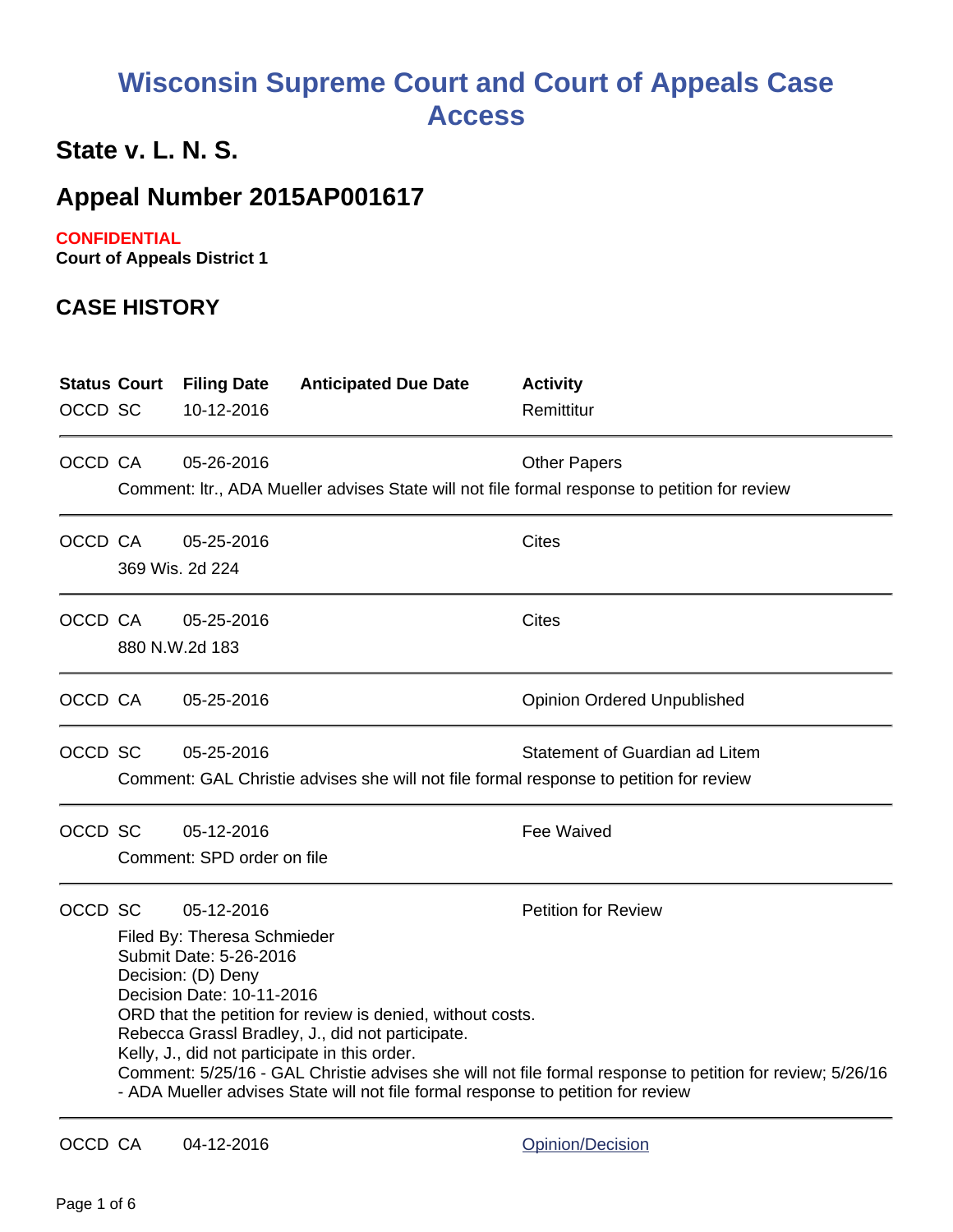# **Wisconsin Supreme Court and Court of Appeals Case Access**

## **State v. L. N. S.**

### **Appeal Number 2015AP001617**

#### **CONFIDENTIAL**

**Court of Appeals District 1**

#### **CASE HISTORY**

| <b>Status Court</b><br>OCCD SC |                                                                                                                                                                                                                                                                                                                                                                                                                                                                                                                          | <b>Filing Date</b><br>10-12-2016         | <b>Anticipated Due Date</b> | <b>Activity</b><br>Remittitur                                                                                            |
|--------------------------------|--------------------------------------------------------------------------------------------------------------------------------------------------------------------------------------------------------------------------------------------------------------------------------------------------------------------------------------------------------------------------------------------------------------------------------------------------------------------------------------------------------------------------|------------------------------------------|-----------------------------|--------------------------------------------------------------------------------------------------------------------------|
| OCCD CA                        |                                                                                                                                                                                                                                                                                                                                                                                                                                                                                                                          | 05-26-2016                               |                             | <b>Other Papers</b><br>Comment: Itr., ADA Mueller advises State will not file formal response to petition for review     |
| OCCD CA                        |                                                                                                                                                                                                                                                                                                                                                                                                                                                                                                                          | 05-25-2016<br>369 Wis. 2d 224            |                             | <b>Cites</b>                                                                                                             |
| OCCD CA                        |                                                                                                                                                                                                                                                                                                                                                                                                                                                                                                                          | 05-25-2016<br>880 N.W.2d 183             |                             | Cites                                                                                                                    |
| OCCD CA                        |                                                                                                                                                                                                                                                                                                                                                                                                                                                                                                                          | 05-25-2016                               |                             | <b>Opinion Ordered Unpublished</b>                                                                                       |
| OCCD SC                        |                                                                                                                                                                                                                                                                                                                                                                                                                                                                                                                          | 05-25-2016                               |                             | Statement of Guardian ad Litem<br>Comment: GAL Christie advises she will not file formal response to petition for review |
| OCCD SC                        |                                                                                                                                                                                                                                                                                                                                                                                                                                                                                                                          | 05-12-2016<br>Comment: SPD order on file |                             | <b>Fee Waived</b>                                                                                                        |
| OCCD SC                        | 05-12-2016<br><b>Petition for Review</b><br>Filed By: Theresa Schmieder<br>Submit Date: 5-26-2016<br>Decision: (D) Deny<br>Decision Date: 10-11-2016<br>ORD that the petition for review is denied, without costs.<br>Rebecca Grassl Bradley, J., did not participate.<br>Kelly, J., did not participate in this order.<br>Comment: 5/25/16 - GAL Christie advises she will not file formal response to petition for review; 5/26/16<br>- ADA Mueller advises State will not file formal response to petition for review |                                          |                             |                                                                                                                          |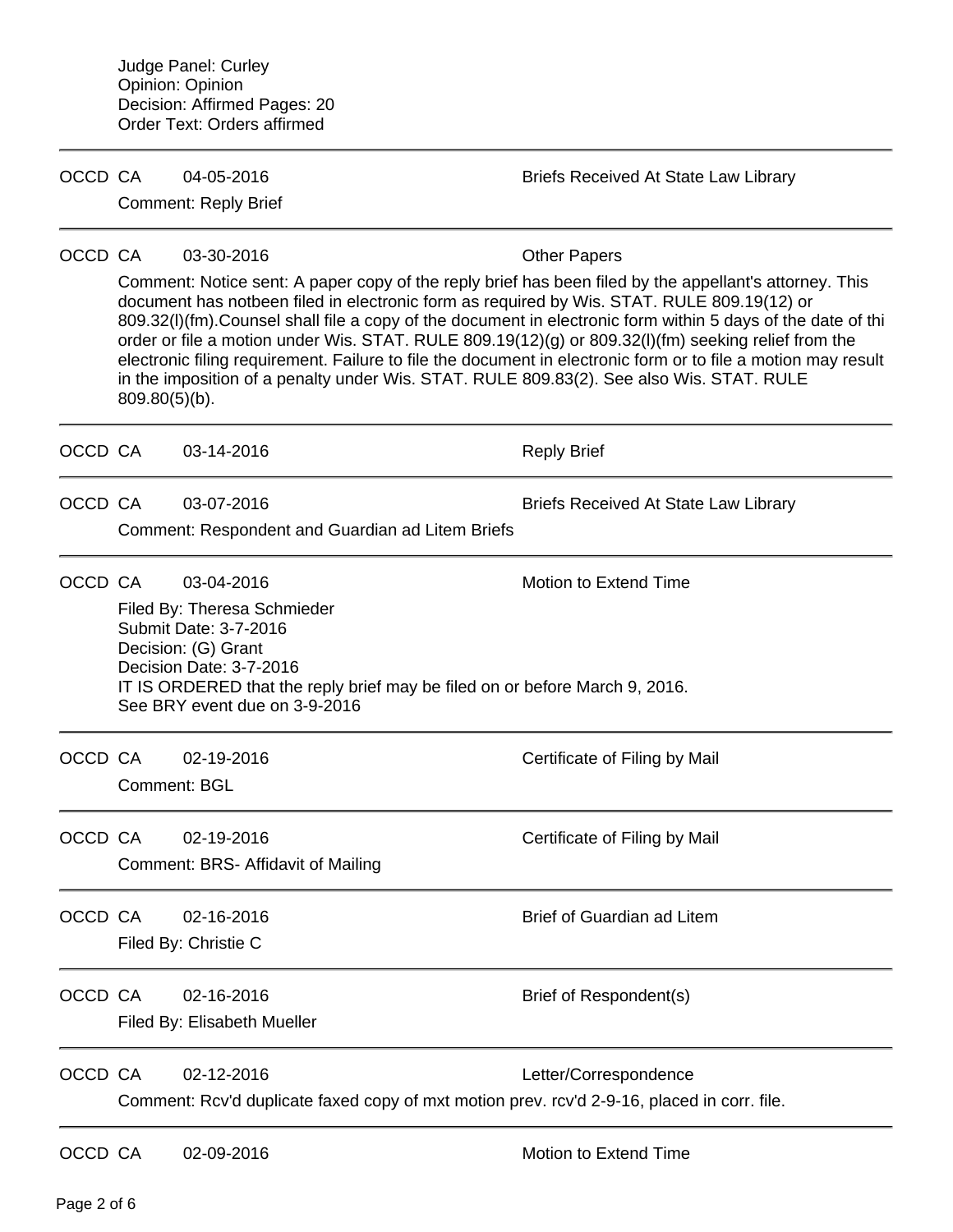| OCCD CA |                                                                                                                                                                                                                                                                                                                                                                                                                                                                                                                                                                                                                                                                                                   | 04-05-2016<br><b>Comment: Reply Brief</b>                                                                                                                                                                                            | <b>Briefs Received At State Law Library</b> |
|---------|---------------------------------------------------------------------------------------------------------------------------------------------------------------------------------------------------------------------------------------------------------------------------------------------------------------------------------------------------------------------------------------------------------------------------------------------------------------------------------------------------------------------------------------------------------------------------------------------------------------------------------------------------------------------------------------------------|--------------------------------------------------------------------------------------------------------------------------------------------------------------------------------------------------------------------------------------|---------------------------------------------|
|         |                                                                                                                                                                                                                                                                                                                                                                                                                                                                                                                                                                                                                                                                                                   |                                                                                                                                                                                                                                      |                                             |
| OCCD CA | 03-30-2016<br><b>Other Papers</b><br>Comment: Notice sent: A paper copy of the reply brief has been filed by the appellant's attorney. This<br>document has notbeen filed in electronic form as required by Wis. STAT. RULE 809.19(12) or<br>809.32(I)(fm). Counsel shall file a copy of the document in electronic form within 5 days of the date of thi<br>order or file a motion under Wis. STAT. RULE 809.19(12)(g) or 809.32(I)(fm) seeking relief from the<br>electronic filing requirement. Failure to file the document in electronic form or to file a motion may result<br>in the imposition of a penalty under Wis. STAT. RULE 809.83(2). See also Wis. STAT. RULE<br>$809.80(5)(b)$ . |                                                                                                                                                                                                                                      |                                             |
| OCCD CA |                                                                                                                                                                                                                                                                                                                                                                                                                                                                                                                                                                                                                                                                                                   | 03-14-2016                                                                                                                                                                                                                           | <b>Reply Brief</b>                          |
| OCCD CA |                                                                                                                                                                                                                                                                                                                                                                                                                                                                                                                                                                                                                                                                                                   | 03-07-2016<br>Comment: Respondent and Guardian ad Litem Briefs                                                                                                                                                                       | <b>Briefs Received At State Law Library</b> |
| OCCD CA |                                                                                                                                                                                                                                                                                                                                                                                                                                                                                                                                                                                                                                                                                                   | 03-04-2016<br>Filed By: Theresa Schmieder<br>Submit Date: 3-7-2016<br>Decision: (G) Grant<br>Decision Date: 3-7-2016<br>IT IS ORDERED that the reply brief may be filed on or before March 9, 2016.<br>See BRY event due on 3-9-2016 | Motion to Extend Time                       |
| OCCD CA | Comment: BGL                                                                                                                                                                                                                                                                                                                                                                                                                                                                                                                                                                                                                                                                                      | 02-19-2016                                                                                                                                                                                                                           | Certificate of Filing by Mail               |
| OCCD CA |                                                                                                                                                                                                                                                                                                                                                                                                                                                                                                                                                                                                                                                                                                   | 02-19-2016<br>Comment: BRS- Affidavit of Mailing                                                                                                                                                                                     | Certificate of Filing by Mail               |
| OCCD CA |                                                                                                                                                                                                                                                                                                                                                                                                                                                                                                                                                                                                                                                                                                   | 02-16-2016<br>Filed By: Christie C                                                                                                                                                                                                   | <b>Brief of Guardian ad Litem</b>           |
| OCCD CA |                                                                                                                                                                                                                                                                                                                                                                                                                                                                                                                                                                                                                                                                                                   | 02-16-2016<br>Filed By: Elisabeth Mueller                                                                                                                                                                                            | Brief of Respondent(s)                      |
| OCCD CA |                                                                                                                                                                                                                                                                                                                                                                                                                                                                                                                                                                                                                                                                                                   | 02-12-2016<br>Comment: Rcv'd duplicate faxed copy of mxt motion prev. rcv'd 2-9-16, placed in corr. file.                                                                                                                            | Letter/Correspondence                       |
| OCCD CA |                                                                                                                                                                                                                                                                                                                                                                                                                                                                                                                                                                                                                                                                                                   | 02-09-2016                                                                                                                                                                                                                           | <b>Motion to Extend Time</b>                |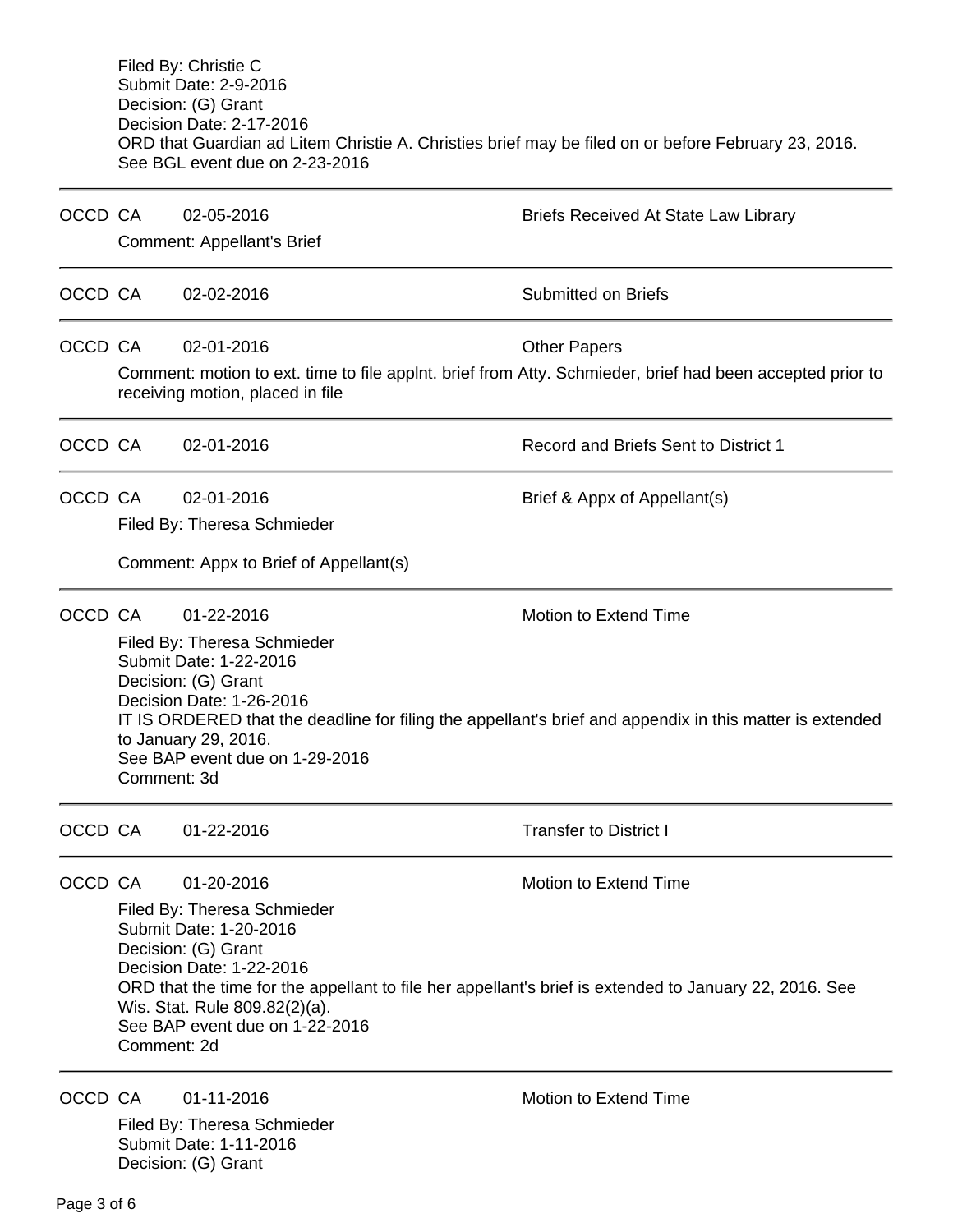Filed By: Christie C Submit Date: 2-9-2016 Decision: (G) Grant Decision Date: 2-17-2016 ORD that Guardian ad Litem Christie A. Christies brief may be filed on or before February 23, 2016. See BGL event due on 2-23-2016

| OCCD CA |                                                                                                                                                                                                                                                                                                                                             | 02-05-2016                                                                                                                                                                       | <b>Briefs Received At State Law Library</b>                                                                                       |  |  |
|---------|---------------------------------------------------------------------------------------------------------------------------------------------------------------------------------------------------------------------------------------------------------------------------------------------------------------------------------------------|----------------------------------------------------------------------------------------------------------------------------------------------------------------------------------|-----------------------------------------------------------------------------------------------------------------------------------|--|--|
|         |                                                                                                                                                                                                                                                                                                                                             | Comment: Appellant's Brief                                                                                                                                                       |                                                                                                                                   |  |  |
| OCCD CA |                                                                                                                                                                                                                                                                                                                                             | 02-02-2016                                                                                                                                                                       | <b>Submitted on Briefs</b>                                                                                                        |  |  |
| OCCD CA |                                                                                                                                                                                                                                                                                                                                             | 02-01-2016                                                                                                                                                                       | <b>Other Papers</b>                                                                                                               |  |  |
|         |                                                                                                                                                                                                                                                                                                                                             | Comment: motion to ext. time to file applnt. brief from Atty. Schmieder, brief had been accepted prior to<br>receiving motion, placed in file                                    |                                                                                                                                   |  |  |
| OCCD CA |                                                                                                                                                                                                                                                                                                                                             | 02-01-2016                                                                                                                                                                       | Record and Briefs Sent to District 1                                                                                              |  |  |
| OCCD CA |                                                                                                                                                                                                                                                                                                                                             | 02-01-2016<br>Filed By: Theresa Schmieder                                                                                                                                        | Brief & Appx of Appellant(s)                                                                                                      |  |  |
|         |                                                                                                                                                                                                                                                                                                                                             | Comment: Appx to Brief of Appellant(s)                                                                                                                                           |                                                                                                                                   |  |  |
| OCCD CA | Comment: 3d                                                                                                                                                                                                                                                                                                                                 | 01-22-2016<br>Filed By: Theresa Schmieder<br>Submit Date: 1-22-2016<br>Decision: (G) Grant<br>Decision Date: 1-26-2016<br>to January 29, 2016.<br>See BAP event due on 1-29-2016 | Motion to Extend Time<br>IT IS ORDERED that the deadline for filing the appellant's brief and appendix in this matter is extended |  |  |
| OCCD CA |                                                                                                                                                                                                                                                                                                                                             | 01-22-2016                                                                                                                                                                       | <b>Transfer to District I</b>                                                                                                     |  |  |
| OCCD CA | 01-20-2016<br>Motion to Extend Time<br>Filed By: Theresa Schmieder<br>Submit Date: 1-20-2016<br>Decision: (G) Grant<br>Decision Date: 1-22-2016<br>ORD that the time for the appellant to file her appellant's brief is extended to January 22, 2016. See<br>Wis. Stat. Rule 809.82(2)(a).<br>See BAP event due on 1-22-2016<br>Comment: 2d |                                                                                                                                                                                  |                                                                                                                                   |  |  |
| OCCD CA |                                                                                                                                                                                                                                                                                                                                             | 01-11-2016<br>Filed By: Theresa Schmieder                                                                                                                                        | <b>Motion to Extend Time</b>                                                                                                      |  |  |

Submit Date: 1-11-2016 Decision: (G) Grant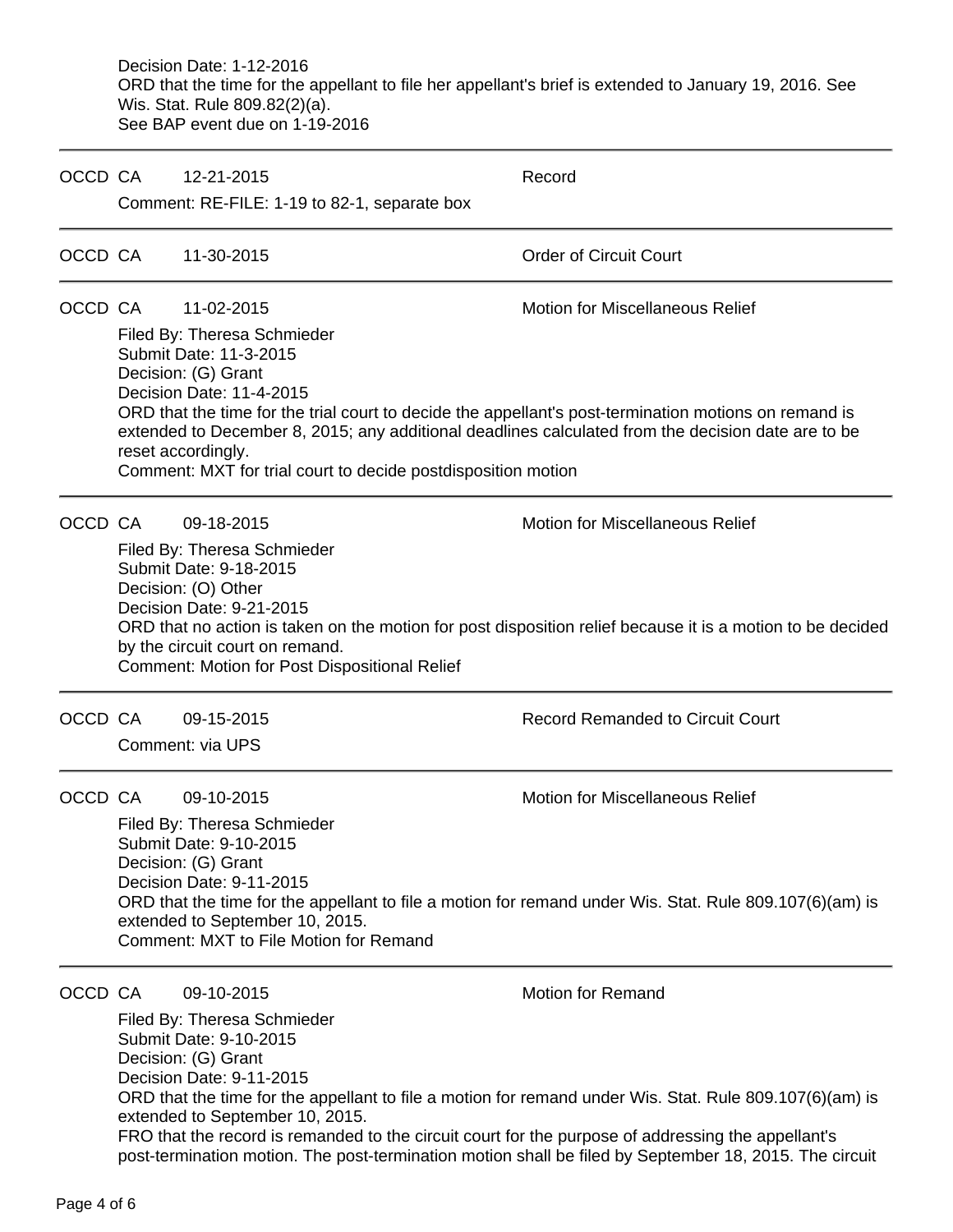Decision Date: 1-12-2016 ORD that the time for the appellant to file her appellant's brief is extended to January 19, 2016. See Wis. Stat. Rule 809.82(2)(a). See BAP event due on 1-19-2016

| OCCD CA | 12-21-2015<br>Comment: RE-FILE: 1-19 to 82-1, separate box                                                                                                                                                        | Record                                                                                                                                                                                                                                                |
|---------|-------------------------------------------------------------------------------------------------------------------------------------------------------------------------------------------------------------------|-------------------------------------------------------------------------------------------------------------------------------------------------------------------------------------------------------------------------------------------------------|
| OCCD CA | 11-30-2015                                                                                                                                                                                                        | <b>Order of Circuit Court</b>                                                                                                                                                                                                                         |
| OCCD CA | 11-02-2015<br>Filed By: Theresa Schmieder<br>Submit Date: 11-3-2015<br>Decision: (G) Grant<br>Decision Date: 11-4-2015<br>reset accordingly.<br>Comment: MXT for trial court to decide postdisposition motion     | <b>Motion for Miscellaneous Relief</b><br>ORD that the time for the trial court to decide the appellant's post-termination motions on remand is<br>extended to December 8, 2015; any additional deadlines calculated from the decision date are to be |
| OCCD CA | 09-18-2015<br>Filed By: Theresa Schmieder<br>Submit Date: 9-18-2015<br>Decision: (O) Other<br>Decision Date: 9-21-2015<br>by the circuit court on remand.<br><b>Comment: Motion for Post Dispositional Relief</b> | <b>Motion for Miscellaneous Relief</b><br>ORD that no action is taken on the motion for post disposition relief because it is a motion to be decided                                                                                                  |
| OCCD CA | 09-15-2015<br>Comment: via UPS                                                                                                                                                                                    | <b>Record Remanded to Circuit Court</b>                                                                                                                                                                                                               |
| OCCD CA | 09-10-2015<br>Filed By: Theresa Schmieder<br>Submit Date: 9-10-2015<br>Decision: (G) Grant<br>Decision Date: 9-11-2015<br>extended to September 10, 2015.<br>Comment: MXT to File Motion for Remand               | Motion for Miscellaneous Relief<br>ORD that the time for the appellant to file a motion for remand under Wis. Stat. Rule 809.107(6)(am) is                                                                                                            |
| OCCD CA | 09-10-2015<br>Filed By: Theresa Schmieder<br>Submit Date: 9-10-2015<br>Decision: (G) Grant<br>Decision Date: 9-11-2015<br>extended to September 10, 2015.                                                         | <b>Motion for Remand</b><br>ORD that the time for the appellant to file a motion for remand under Wis. Stat. Rule 809.107(6)(am) is                                                                                                                   |

FRO that the record is remanded to the circuit court for the purpose of addressing the appellant's post-termination motion. The post-termination motion shall be filed by September 18, 2015. The circuit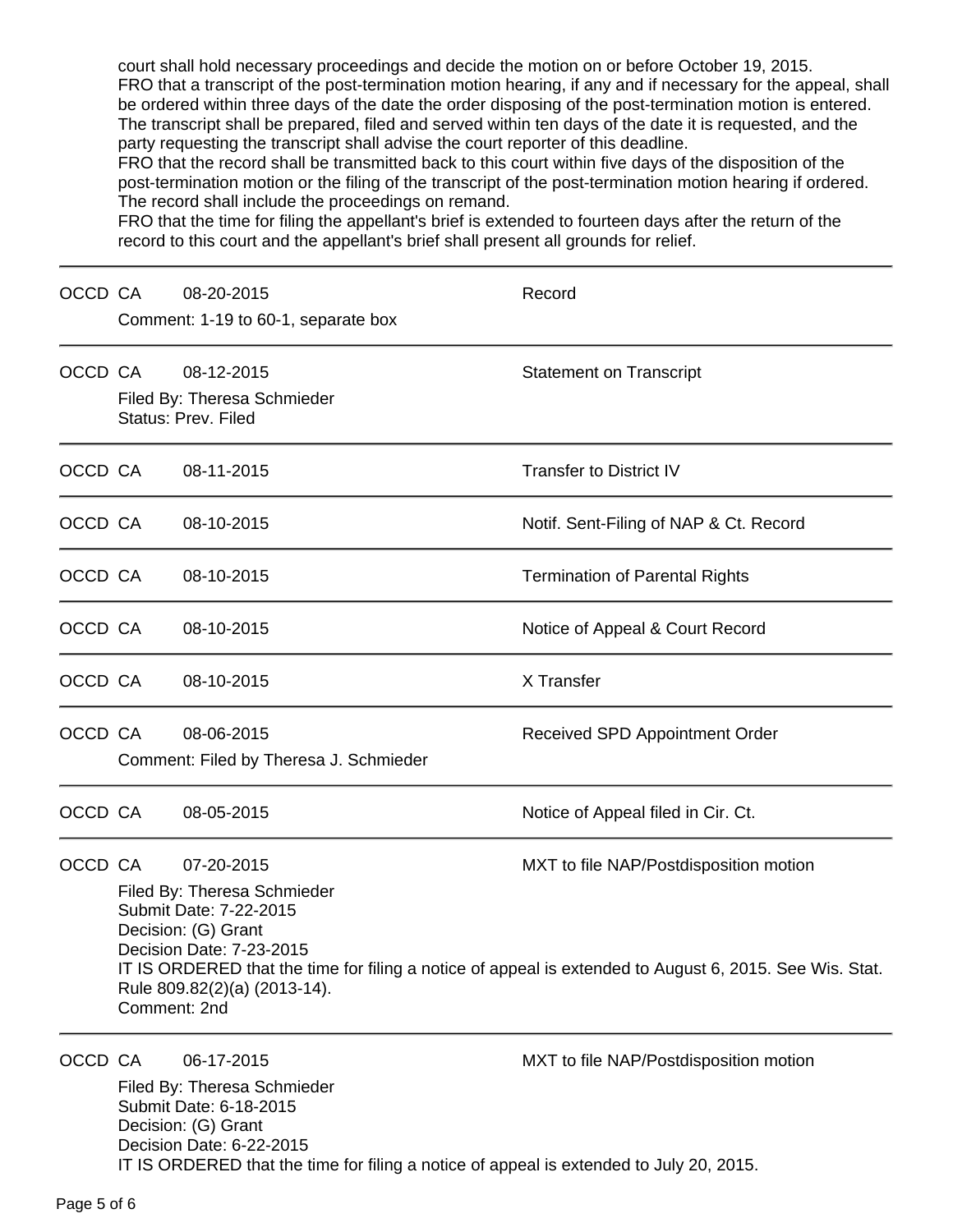court shall hold necessary proceedings and decide the motion on or before October 19, 2015. FRO that a transcript of the post-termination motion hearing, if any and if necessary for the appeal, shall be ordered within three days of the date the order disposing of the post-termination motion is entered. The transcript shall be prepared, filed and served within ten days of the date it is requested, and the party requesting the transcript shall advise the court reporter of this deadline.

FRO that the record shall be transmitted back to this court within five days of the disposition of the post-termination motion or the filing of the transcript of the post-termination motion hearing if ordered. The record shall include the proceedings on remand.

FRO that the time for filing the appellant's brief is extended to fourteen days after the return of the record to this court and the appellant's brief shall present all grounds for relief.

| OCCD CA |                                                                                                                                                                                                                                                                                                                             | 08-20-2015<br>Comment: 1-19 to 60-1, separate box                                                                                                                                                                 | Record                                 |
|---------|-----------------------------------------------------------------------------------------------------------------------------------------------------------------------------------------------------------------------------------------------------------------------------------------------------------------------------|-------------------------------------------------------------------------------------------------------------------------------------------------------------------------------------------------------------------|----------------------------------------|
|         | OCCD CA                                                                                                                                                                                                                                                                                                                     | 08-12-2015<br>Filed By: Theresa Schmieder<br>Status: Prev. Filed                                                                                                                                                  | <b>Statement on Transcript</b>         |
| OCCD CA |                                                                                                                                                                                                                                                                                                                             | 08-11-2015                                                                                                                                                                                                        | <b>Transfer to District IV</b>         |
| OCCD CA |                                                                                                                                                                                                                                                                                                                             | 08-10-2015                                                                                                                                                                                                        | Notif. Sent-Filing of NAP & Ct. Record |
| OCCD CA |                                                                                                                                                                                                                                                                                                                             | 08-10-2015                                                                                                                                                                                                        | <b>Termination of Parental Rights</b>  |
| OCCD CA |                                                                                                                                                                                                                                                                                                                             | 08-10-2015                                                                                                                                                                                                        | Notice of Appeal & Court Record        |
| OCCD CA |                                                                                                                                                                                                                                                                                                                             | 08-10-2015                                                                                                                                                                                                        | X Transfer                             |
| OCCD CA |                                                                                                                                                                                                                                                                                                                             | 08-06-2015<br>Comment: Filed by Theresa J. Schmieder                                                                                                                                                              | Received SPD Appointment Order         |
| OCCD CA |                                                                                                                                                                                                                                                                                                                             | 08-05-2015                                                                                                                                                                                                        | Notice of Appeal filed in Cir. Ct.     |
| OCCD CA | 07-20-2015<br>MXT to file NAP/Postdisposition motion<br>Filed By: Theresa Schmieder<br>Submit Date: 7-22-2015<br>Decision: (G) Grant<br>Decision Date: 7-23-2015<br>IT IS ORDERED that the time for filing a notice of appeal is extended to August 6, 2015. See Wis. Stat.<br>Rule 809.82(2)(a) (2013-14).<br>Comment: 2nd |                                                                                                                                                                                                                   |                                        |
| OCCD CA |                                                                                                                                                                                                                                                                                                                             | 06-17-2015<br>Filed By: Theresa Schmieder<br>Submit Date: 6-18-2015<br>Decision: (G) Grant<br>Decision Date: 6-22-2015<br>IT IS ORDERED that the time for filing a notice of appeal is extended to July 20, 2015. | MXT to file NAP/Postdisposition motion |